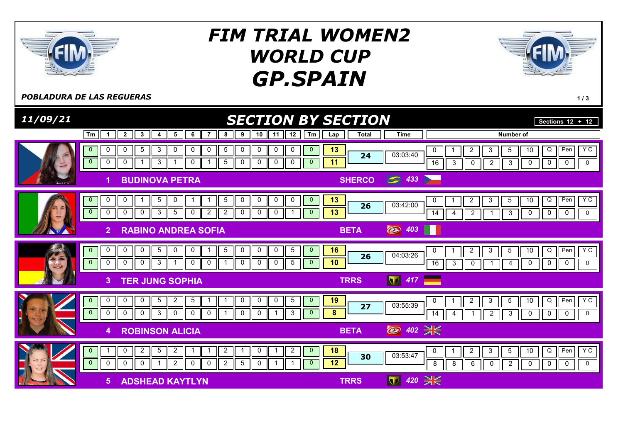

## GP.SPAIN FIM TRIAL WOMEN2 WORLD CUP



**POBLADURA DE LAS REGUERAS** 1/3

| 11/09/21 | <b>SECTION BY SECTION</b>                                                                                                                                                                                                                                                        |                                                                                    | Sections $12 + 12$                                                                                                                               |
|----------|----------------------------------------------------------------------------------------------------------------------------------------------------------------------------------------------------------------------------------------------------------------------------------|------------------------------------------------------------------------------------|--------------------------------------------------------------------------------------------------------------------------------------------------|
|          | $\overline{2}$<br>3<br>5<br>6<br>9<br>10<br>12<br>Tm<br>$\mathbf{1}$<br>8<br>11<br>4                                                                                                                                                                                             | <b>Time</b><br><b>Total</b><br>Tm<br>Lap                                           | Number of                                                                                                                                        |
|          | $\overline{5}$<br>0<br>3<br>0<br>5<br>0<br>0<br>0<br>0<br>0<br>0<br>0<br>$\mathbf 0$<br>$\overline{0}$<br>3<br>5<br>0<br>0<br>0<br>$\mathbf 0$<br>$\mathbf 0$<br>$\mathbf 0$<br>0                                                                                                | $\mathbf 0$<br>13<br>0<br>03:03:40<br>24<br>11<br>$\mathbf{0}$<br>16               | Y C<br>$Q \mid$<br>Pen<br>$\overline{2}$<br>5<br>10<br>3<br>$\mathbf 0$<br>$\mathbf 0$<br>$\mathbf 0$<br>3<br>$\overline{2}$<br>3<br>0<br>0      |
|          | <b>BUDINOVA PETRA</b><br>1                                                                                                                                                                                                                                                       | $\bigcirc$ 433<br><b>SHERCO</b>                                                    |                                                                                                                                                  |
|          | 0<br>$\mathbf 0$<br>$5\phantom{.0}$<br>$\mathbf 0$<br>5<br>0<br>0<br>$\mathbf{0}$<br>0<br>0<br>$\overline{0}$<br>$\overline{2}$<br>$\mathbf 0$<br>$\mathbf 0$<br>3<br>$5\phantom{.0}$<br>$\overline{2}$<br>0<br>$\mathbf 0$<br>0<br>0<br>0<br>-1                                 | $\mathbf{0}$<br>13<br>0<br>03:42:00<br>26<br>13<br>$\mathbf{0}$<br>$\overline{14}$ | Y C<br>Q<br>$\overline{2}$<br>3<br>$5\phantom{.0}$<br>10<br>Pen<br>$\overline{2}$<br>$\mathbf{3}$<br>$\mathbf 0$<br>0<br>0<br>$\mathsf{O}$<br>4  |
|          | $\overline{2}$<br><b>RABINO ANDREA SOFIA</b>                                                                                                                                                                                                                                     | ◯ 403<br>H<br><b>BETA</b>                                                          |                                                                                                                                                  |
| 35       | 0<br>$5\phantom{.0}$<br>$\mathbf 0$<br>$\mathbf 0$<br>$\mathbf 0$<br>$5\phantom{.0}$<br>$\mathbf 0$<br>$\mathbf 0$<br>5<br>0<br>$\mathbf{0}$<br>0<br>$\overline{0}$<br>$\mathbf 0$<br>$\mathsf{O}$<br>3<br>$\sqrt{5}$<br>0<br>0<br>0<br>0<br>0<br>0<br>-1                        | $\overline{0}$<br>16<br>0<br>04:03:26<br>26<br>10<br>$\overline{0}$<br>16          | YC<br>$\overline{Q}$<br>$5\phantom{.0}$<br>10<br>Pen<br>$\overline{2}$<br>3<br>0<br>$\mathbf 0$<br>$\mathbf 0$<br>3<br>0<br>0<br>4               |
|          | <b>TER JUNG SOPHIA</b><br>3.                                                                                                                                                                                                                                                     | 417<br>$ \nabla $<br><b>TRRS</b>                                                   |                                                                                                                                                  |
|          | $5\phantom{.0}$<br>$\mathbf 0$<br>$\mathbf 0$<br>$\mathbf 0$<br>$5\overline{)}$<br>$\overline{2}$<br>0<br>0<br>$\mathbf 0$<br>5<br>$\mathbf{0}$<br>- 1<br>$\mathbf{0}$<br>$\mathbf 0$<br>$\mathbf 0$<br>$\mathbf 0$<br>3<br>$\mathbf 0$<br>$\mathbf 0$<br>0<br>0<br>0<br>3<br>-1 | $\mathbf{0}$<br>19<br>0<br>03:55:39<br>27<br>8<br>$\mathbf{0}$<br>14               | $Y$ C<br>10<br>$\mathsf Q$<br>$\overline{2}$<br>3<br>5 <sub>5</sub><br>Pen<br>$\mathbf{3}$<br>0<br>0<br>$\mathsf{O}$<br>$\overline{2}$<br>0<br>4 |
|          | <b>ROBINSON ALICIA</b><br>4                                                                                                                                                                                                                                                      | 2 402 ¥<br><b>BETA</b>                                                             |                                                                                                                                                  |
|          | $\overline{c}$<br>$\overline{2}$<br>$5\phantom{.0}$<br>$\overline{2}$<br>$\overline{2}$<br>0<br>$\mathbf{0}$<br>0<br>1<br>-1<br>$\overline{0}$<br>$\mathbf 0$<br>2<br>2<br>$5\phantom{.0}$<br>0<br>$\Omega$<br>$\mathbf 0$<br>$\mathbf 0$<br>$\Omega$<br>$\mathbf{1}$<br>-1      | 18<br>$\mathbf{0}$<br>0<br>03:53:47<br>30<br>12<br>$\overline{0}$<br>8             | YC<br>Q<br>Pen<br>$\overline{2}$<br>$\mathbf{3}$<br>$\overline{5}$<br>10<br>8<br>6<br>$\overline{2}$<br>0<br>$\mathbf 0$<br>0<br>0<br>0          |
|          | <b>ADSHEAD KAYTLYN</b><br>5                                                                                                                                                                                                                                                      | $rac{1}{200}$<br>420<br>$\mathbf \nabla$<br><b>TRRS</b>                            |                                                                                                                                                  |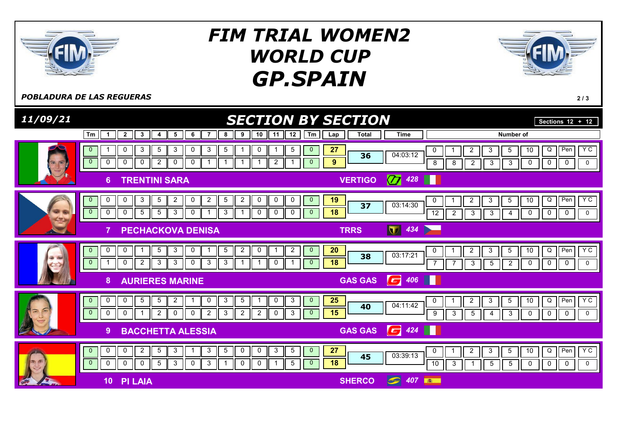